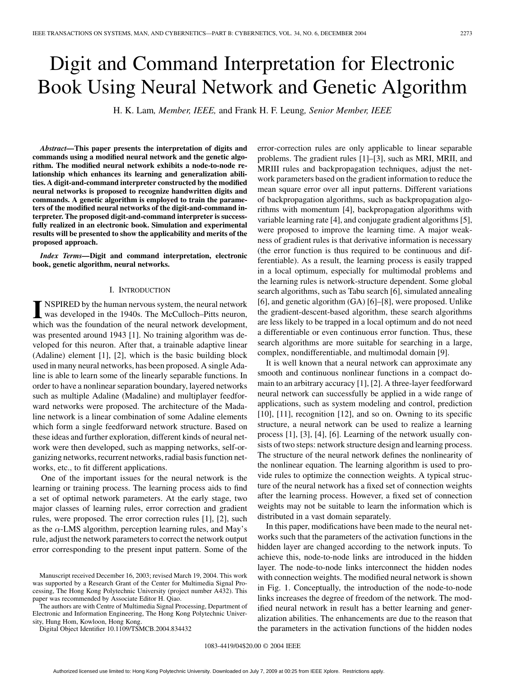# Digit and Command Interpretation for Electronic Book Using Neural Network and Genetic Algorithm

H. K. Lam*, Member, IEEE,* and Frank H. F. Leung*, Senior Member, IEEE*

*Abstract—***This paper presents the interpretation of digits and commands using a modified neural network and the genetic algorithm. The modified neural network exhibits a node-to-node relationship which enhances its learning and generalization abilities. A digit-and-command interpreter constructed by the modified neural networks is proposed to recognize handwritten digits and commands. A genetic algorithm is employed to train the parameters of the modified neural networks of the digit-and-command interpreter. The proposed digit-and-command interpreter is successfully realized in an electronic book. Simulation and experimental results will be presented to show the applicability and merits of the proposed approach.**

*Index Terms—***Digit and command interpretation, electronic book, genetic algorithm, neural networks.**

#### I. INTRODUCTION

II NSPIRED by the human nervous system, the neural network<br>was developed in the 1940s. The McCulloch–Pitts neuron, which was the foundation of the neural network development, was presented around 1943 [\[1](#page-9-0)]. No training algorithm was developed for this neuron. After that, a trainable adaptive linear (Adaline) element [[1\]](#page-9-0), [[2\]](#page-9-0), which is the basic building block used in many neural networks, has been proposed. A single Adaline is able to learn some of the linearly separable functions. In order to have a nonlinear separation boundary, layered networks such as multiple Adaline (Madaline) and multiplayer feedforward networks were proposed. The architecture of the Madaline network is a linear combination of some Adaline elements which form a single feedforward network structure. Based on these ideas and further exploration, different kinds of neural network were then developed, such as mapping networks, self-organizing networks, recurrent networks, radial basis function networks, etc., to fit different applications.

One of the important issues for the neural network is the learning or training process. The learning process aids to find a set of optimal network parameters. At the early stage, two major classes of learning rules, error correction and gradient rules, were proposed. The error correction rules [\[1](#page-9-0)], [[2\]](#page-9-0), such as the  $\alpha$ -LMS algorithm, perception learning rules, and May's rule, adjust the network parameters to correct the network output error corresponding to the present input pattern. Some of the

The authors are with Centre of Multimedia Signal Processing, Department of Electronic and Information Engineering, The Hong Kong Polytechnic University, Hung Hom, Kowloon, Hong Kong.

Digital Object Identifier 10.1109/TSMCB.2004.834432

error-correction rules are only applicable to linear separable problems. The gradient rules [\[1](#page-9-0)]–[[3\]](#page-9-0), such as MRI, MRII, and MRIII rules and backpropagation techniques, adjust the network parameters based on the gradient information to reduce the mean square error over all input patterns. Different variations of backpropagation algorithms, such as backpropagation algorithms with momentum [[4\]](#page-9-0), backpropagation algorithms with variable learning rate [[4\]](#page-9-0), and conjugate gradient algorithms [\[5](#page-9-0)], were proposed to improve the learning time. A major weakness of gradient rules is that derivative information is necessary (the error function is thus required to be continuous and differentiable). As a result, the learning process is easily trapped in a local optimum, especially for multimodal problems and the learning rules is network-structure dependent. Some global search algorithms, such as Tabu search [[6\]](#page-9-0), simulated annealing [\[6](#page-9-0)], and genetic algorithm (GA) [[6\]](#page-9-0)–[\[8](#page-9-0)], were proposed. Unlike the gradient-descent-based algorithm, these search algorithms are less likely to be trapped in a local optimum and do not need a differentiable or even continuous error function. Thus, these search algorithms are more suitable for searching in a large, complex, nondifferentiable, and multimodal domain [[9\]](#page-9-0).

It is well known that a neural network can approximate any smooth and continuous nonlinear functions in a compact domain to an arbitrary accuracy [[1\]](#page-9-0), [[2\]](#page-9-0). A three-layer feedforward neural network can successfully be applied in a wide range of applications, such as system modeling and control, prediction [\[10](#page-10-0)], [[11\]](#page-10-0), recognition [[12\]](#page-10-0), and so on. Owning to its specific structure, a neural network can be used to realize a learning process [\[1](#page-9-0)], [\[3](#page-9-0)], [\[4](#page-9-0)], [\[6](#page-9-0)]. Learning of the network usually consists of two steps: network structure design and learning process. The structure of the neural network defines the nonlinearity of the nonlinear equation. The learning algorithm is used to provide rules to optimize the connection weights. A typical structure of the neural network has a fixed set of connection weights after the learning process. However, a fixed set of connection weights may not be suitable to learn the information which is distributed in a vast domain separately.

In this paper, modifications have been made to the neural networks such that the parameters of the activation functions in the hidden layer are changed according to the network inputs. To achieve this, node-to-node links are introduced in the hidden layer. The node-to-node links interconnect the hidden nodes with connection weights. The modified neural network is shown in Fig. 1. Conceptually, the introduction of the node-to-node links increases the degree of freedom of the network. The modified neural network in result has a better learning and generalization abilities. The enhancements are due to the reason that the parameters in the activation functions of the hidden nodes

1083-4419/04\$20.00 © 2004 IEEE

Manuscript received December 16, 2003; revised March 19, 2004. This work was supported by a Research Grant of the Center for Multimedia Signal Processing, The Hong Kong Polytechnic University (project number A432). This paper was recommended by Associate Editor H. Qiao.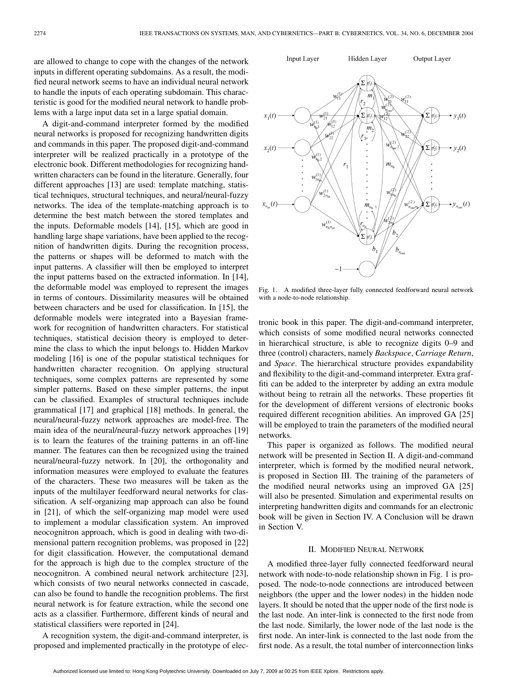are allowed to change to cope with the changes of the network inputs in different operating subdomains. As a result, the modified neural network seems to have an individual neural network to handle the inputs of each operating subdomain. This characteristic is good for the modified neural network to handle problems with a large input data set in a large spatial domain.

A digit-and-command interpreter formed by the modified neural networks is proposed for recognizing handwritten digits and commands in this paper. The proposed digit-and-command interpreter will be realized practically in a prototype of the electronic book. Different methodologies for recognizing handwritten characters can be found in the literature. Generally, four different approaches [[13\]](#page-10-0) are used: template matching, statistical techniques, structural techniques, and neural/neural-fuzzy networks. The idea of the template-matching approach is to determine the best match between the stored templates and the inputs. Deformable models [\[14](#page-10-0)], [[15\]](#page-10-0), which are good in handling large shape variations, have been applied to the recognition of handwritten digits. During the recognition process, the patterns or shapes will be deformed to match with the input patterns. A classifier will then be employed to interpret the input patterns based on the extracted information. In [[14\]](#page-10-0), the deformable model was employed to represent the images in terms of contours. Dissimilarity measures will be obtained between characters and be used for classification. In [\[15](#page-10-0)], the deformable models were integrated into a Bayesian framework for recognition of handwritten characters. For statistical techniques, statistical decision theory is employed to determine the class to which the input belongs to. Hidden Markov modeling [\[16](#page-10-0)] is one of the popular statistical techniques for handwritten character recognition. On applying structural techniques, some complex patterns are represented by some simpler patterns. Based on these simpler patterns, the input can be classified. Examples of structural techniques include grammatical [\[17](#page-10-0)] and graphical [[18\]](#page-10-0) methods. In general, the neural/neural-fuzzy network approaches are model-free. The main idea of the neural/neural-fuzzy network approaches [\[19](#page-10-0)] is to learn the features of the training patterns in an off-line manner. The features can then be recognized using the trained neural/neural-fuzzy network. In [\[20](#page-10-0)], the orthogonality and information measures were employed to evaluate the features of the characters. These two measures will be taken as the inputs of the multilayer feedforward neural networks for classification. A self-organizing map approach can also be found in [\[21](#page-10-0)], of which the self-organizing map model were used to implement a modular classification system. An improved neocognitron approach, which is good in dealing with two-dimensional pattern recognition problems, was proposed in [\[22](#page-10-0)] for digit classification. However, the computational demand for the approach is high due to the complex structure of the neocognitron. A combined neural network architecture [[23\]](#page-10-0), which consists of two neural networks connected in cascade, can also be found to handle the recognition problems. The first neural network is for feature extraction, while the second one acts as a classifier. Furthermore, different kinds of neural and statistical classifiers were reported in [[24\]](#page-10-0).

A recognition system, the digit-and-command interpreter, is proposed and implemented practically in the prototype of elec-



Fig. 1. A modified three-layer fully connected feedforward neural network with a node-to-node relationship.

tronic book in this paper. The digit-and-command interpreter, which consists of some modified neural networks connected in hierarchical structure, is able to recognize digits 0–9 and three (control) characters, namely *Backspace*, *Carriage Return*, and *Space*. The hierarchical structure provides expandability and flexibility to the digit-and-command interpreter. Extra graffiti can be added to the interpreter by adding an extra module without being to retrain all the networks. These properties fit for the development of different versions of electronic books required different recognition abilities. An improved GA [\[25](#page-10-0)] will be employed to train the parameters of the modified neural networks.

This paper is organized as follows. The modified neural network will be presented in Section II. A digit-and-command interpreter, which is formed by the modified neural network, is proposed in Section III. The training of the parameters of the modified neural networks using an improved GA [\[25](#page-10-0)] will also be presented. Simulation and experimental results on interpreting handwritten digits and commands for an electronic book will be given in Section IV. A Conclusion will be drawn in Section V.

# II. MODIFIED NEURAL NETWORK

A modified three-layer fully connected feedforward neural network with node-to-node relationship shown in Fig. 1 is proposed. The node-to-node connections are introduced between neighbors (the upper and the lower nodes) in the hidden node layers. It should be noted that the upper node of the first node is the last node. An inter-link is connected to the first node from the last node. Similarly, the lower node of the last node is the first node. An inter-link is connected to the last node from the first node. As a result, the total number of interconnection links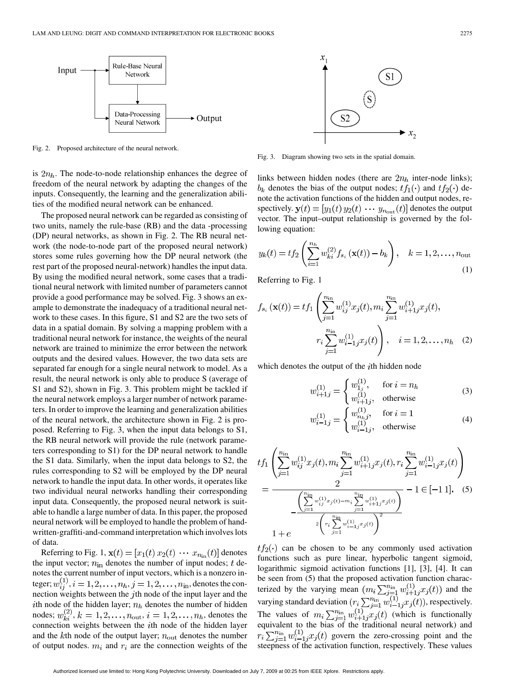

Fig. 2. Proposed architecture of the neural network.

is  $2n<sub>h</sub>$ . The node-to-node relationship enhances the degree of freedom of the neural network by adapting the changes of the inputs. Consequently, the learning and the generalization abilities of the modified neural network can be enhanced.

The proposed neural network can be regarded as consisting of two units, namely the rule-base (RB) and the data -processing (DP) neural networks, as shown in Fig. 2. The RB neural network (the node-to-node part of the proposed neural network) stores some rules governing how the DP neural network (the rest part of the proposed neural-network) handles the input data. By using the modified neural network, some cases that a traditional neural network with limited number of parameters cannot provide a good performance may be solved. Fig. 3 shows an example to demonstrate the inadequacy of a traditional neural network to these cases. In this figure, S1 and S2 are the two sets of data in a spatial domain. By solving a mapping problem with a traditional neural network for instance, the weights of the neural network are trained to minimize the error between the network outputs and the desired values. However, the two data sets are separated far enough for a single neural network to model. As a result, the neural network is only able to produce S (average of S1 and S2), shown in Fig. 3. This problem might be tackled if the neural network employs a larger number of network parameters. In order to improve the learning and generalization abilities of the neural network, the architecture shown in Fig. 2 is proposed. Referring to Fig. 3, when the input data belongs to S1, the RB neural network will provide the rule (network parameters corresponding to S1) for the DP neural network to handle the S1 data. Similarly, when the input data belongs to S2, the rules corresponding to S2 will be employed by the DP neural network to handle the input data. In other words, it operates like two individual neural networks handling their corresponding input data. Consequently, the proposed neural network is suitable to handle a large number of data. In this paper, the proposed neural network will be employed to handle the problem of handwritten-graffiti-and-command interpretation which involves lots of data.

Referring to Fig. 1,  $\mathbf{x}(t) = [x_1(t) x_2(t) \cdots x_{n_{\text{in}}}(t)]$  denotes the input vector;  $n_{\text{in}}$  denotes the number of input nodes; t denotes the current number of input vectors, which is a nonzero integer;  $w_{ij}^{(1)}$ ,  $i = 1, 2, ..., n_h$ ,  $j = 1, 2, ..., n_{in}$ , denotes the connection weights between the  $j$ th node of the input layer and the ith node of the hidden layer;  $n_h$  denotes the number of hidden nodes;  $w_{ki}^{(2)}$ ,  $k = 1, 2, ..., n_{out}$ ,  $i = 1, 2, ..., n_h$ , denotes the connection weights between the  $i$ th node of the hidden layer and the kth node of the output layer;  $n_{\text{out}}$  denotes the number of output nodes.  $m_i$  and  $r_i$  are the connection weights of the



Fig. 3. Diagram showing two sets in the spatial domain.

links between hidden nodes (there are  $2n_h$  inter-node links);  $b_k$  denotes the bias of the output nodes;  $tf_1(\cdot)$  and  $tf_2(\cdot)$  denote the activation functions of the hidden and output nodes, respectively.  $\mathbf{y}(t) = [y_1(t) y_2(t) \cdots y_{n_{\text{out}}}(t)]$  denotes the output vector. The input–output relationship is governed by the following equation:

$$
y_k(t) = tf_2\left(\sum_{i=1}^{n_h} w_{ki}^{(2)} f_{s_i}\left(\mathbf{x}(t)\right) - b_k\right), \quad k = 1, 2, \dots, n_{\text{out}}
$$
\n(1)

Referring to Fig. 1

$$
f_{s_i}(\mathbf{x}(t)) = tf_1\left(\sum_{j=1}^{n_{\text{in}}} w_{ij}^{(1)} x_j(t), m_i \sum_{j=1}^{n_{\text{in}}} w_{i+1j}^{(1)} x_j(t), \n r_i \sum_{j=1}^{n_{\text{in}}} w_{i-1j}^{(1)} x_j(t)\right), \quad i = 1, 2, \dots, n_h \quad (2)
$$

which denotes the output of the  $i$ th hidden node

 $\boldsymbol{\mathit{u}}$ 

$$
v_{i+1j}^{(1)} = \begin{cases} w_{1j}^{(1)}, & \text{for } i = n_h \\ w_{i+1j}^{(1)}, & \text{otherwise} \end{cases}
$$
 (3)

$$
w_{i-1j}^{(1)} = \begin{cases} w_{n_hj}^{(1)}, & \text{for } i = 1\\ w_{i-1j}^{(1)}, & \text{otherwise} \end{cases}
$$
(4)

$$
tf_{1}\left(\sum_{j=1}^{n_{\text{in}}}w_{ij}^{(1)}x_{j}(t),m_{i}\sum_{j=1}^{n_{\text{in}}}w_{i+1j}^{(1)}x_{j}(t),r_{i}\sum_{j=1}^{n_{\text{in}}}w_{i-1j}^{(1)}x_{j}(t)\right)
$$
  
= 
$$
\frac{2}{\frac{\left(\sum_{j=1}^{n_{\text{in}}}w_{ij}^{(1)}x_{j}(t)-m_{i}\sum_{j=1}^{n_{\text{in}}}w_{i+1j}^{(1)}x_{j}(t)\right)}{-\frac{\left(\sum_{j=1}^{n_{\text{in}}}w_{ij}^{(1)}x_{j}(t)-m_{i}\sum_{j=1}^{n_{\text{in}}}w_{i+1j}^{(1)}x_{j}(t)\right)^{2}}-1 \in [-1 1].
$$
 (5)  

$$
1+e
$$

 $tf_2(\cdot)$  can be chosen to be any commonly used activation functions such as pure linear, hyperbolic tangent sigmoid, logarithmic sigmoid activation functions [[1\]](#page-9-0), [\[3](#page-9-0)], [[4\]](#page-9-0). It can be seen from (5) that the proposed activation function characterized by the varying mean  $(m_i \sum_{i=1}^{n_{\text{in}}} w_{i+1}^{(1)}, x_i(t))$  and the varying standard deviation  $(r_i \sum_{i=1}^{n_{in}} w_{i-1,i}^{(1)} x_i(t))$ , respectively. The values of  $m_i \sum_{i=1}^{n_{\text{in}}} w_{i+1}^{(1)} x_i(t)$  (which is functionally equivalent to the bias of the traditional neural network) and  $r_i \sum_{j=1}^{n_{\text{in}}} w_{i-1,j}^{(1)} x_j(t)$  govern the zero-crossing point and the steepness of the activation function, respectively. These values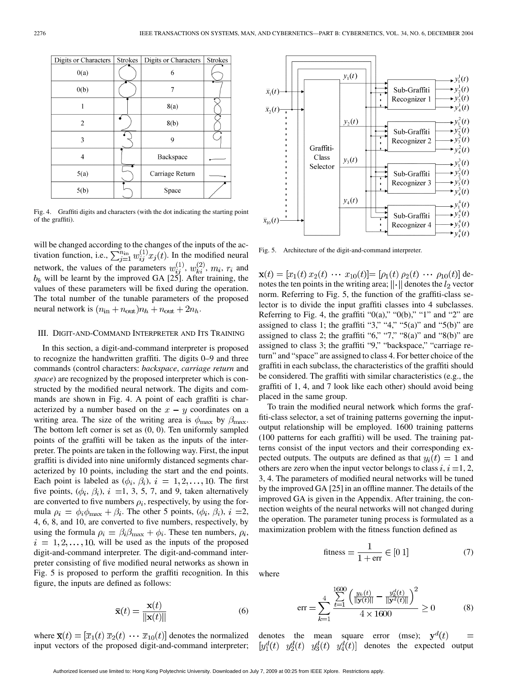| Digits or Characters | <b>Strokes</b> | Digits or Characters | <b>Strokes</b> |
|----------------------|----------------|----------------------|----------------|
| 0(a)                 |                | 6                    |                |
| 0(b)                 |                | 7                    |                |
| 1                    |                | 8(a)                 |                |
| 2                    |                | 8(b)                 |                |
| 3                    |                | 9                    |                |
| 4                    |                | Backspace            |                |
| 5(a)                 |                | Carriage Return      |                |
| 5(b)                 |                | Space                |                |

Fig. 4. Graffiti digits and characters (with the dot indicating the starting point of the graffiti).

will be changed according to the changes of the inputs of the activation function, i.e.,  $\sum_{j=1}^{n_{\text{in}}} w_{ij}^{(1)} x_j(t)$ . In the modified neural network, the values of the parameters  $w_{ij}^{(1)}$ ,  $w_{ki}^{(2)}$ ,  $m_i$ ,  $r_i$  and will be learnt by the improved GA [[25\]](#page-10-0). After training, the values of these parameters will be fixed during the operation. The total number of the tunable parameters of the proposed neural network is  $(n_{\text{in}} + n_{\text{out}})n_h + n_{\text{out}} + 2n_h$ .

#### III. DIGIT-AND-COMMAND INTERPRETER AND ITS TRAINING

In this section, a digit-and-command interpreter is proposed to recognize the handwritten graffiti. The digits 0–9 and three commands (control characters: *backspace*, *carriage return* and *space*) are recognized by the proposed interpreter which is constructed by the modified neural network. The digits and commands are shown in Fig. 4. A point of each graffiti is characterized by a number based on the  $x - y$  coordinates on a writing area. The size of the writing area is  $\phi_{\text{max}}$  by  $\beta_{\text{max}}$ . The bottom left corner is set as (0, 0). Ten uniformly sampled points of the graffiti will be taken as the inputs of the interpreter. The points are taken in the following way. First, the input graffiti is divided into nine uniformly distanced segments characterized by 10 points, including the start and the end points. Each point is labeled as  $(\phi_i, \beta_i)$ ,  $i = 1, 2, ..., 10$ . The first five points,  $(\phi_i, \beta_i)$ ,  $i = 1, 3, 5, 7$ , and 9, taken alternatively are converted to five numbers  $\rho_i$ , respectively, by using the formula  $\rho_i = \phi_i \phi_{\text{max}} + \beta_i$ . The other 5 points,  $(\phi_i, \beta_i)$ ,  $i = 2$ , 4, 6, 8, and 10, are converted to five numbers, respectively, by using the formula  $\rho_i = \beta_i \beta_{\text{max}} + \phi_i$ . These ten numbers,  $\rho_i$ ,  $i = 1, 2, \ldots, 10$ , will be used as the inputs of the proposed digit-and-command interpreter. The digit-and-command interpreter consisting of five modified neural networks as shown in Fig. 5 is proposed to perform the graffiti recognition. In this figure, the inputs are defined as follows:

$$
\bar{\mathbf{x}}(t) = \frac{\mathbf{x}(t)}{||\mathbf{x}(t)||} \tag{6}
$$

where  $\overline{\mathbf{x}}(t) = [\overline{x}_1(t) \ \overline{x}_2(t) \ \cdots \ \overline{x}_{10}(t)]$  denotes the normalized input vectors of the proposed digit-and-command interpreter;



Fig. 5. Architecture of the digit-and-command interpreter.

 $\mathbf{x}(t) = [x_1(t) \ x_2(t) \ \cdots \ x_{10}(t)] = [\rho_1(t) \ \rho_2(t) \ \cdots \ \rho_{10}(t)]$  denotes the ten points in the writing area;  $||\cdot||$  denotes the  $l_2$  vector norm. Referring to Fig. 5, the function of the graffiti-class selector is to divide the input graffiti classes into 4 subclasses. Referring to Fig. 4, the graffiti " $0(a)$ ," " $0(b)$ ," "1" and "2" are assigned to class 1; the graffiti "3," "4," "5(a)" and "5(b)" are assigned to class 2; the graffiti "6," "7," "8(a)" and "8(b)" are assigned to class 3; the graffiti "9," "backspace," "carriage return" and "space" are assigned to class 4. For better choice of the graffiti in each subclass, the characteristics of the graffiti should be considered. The graffiti with similar characteristics (e.g., the graffiti of 1, 4, and 7 look like each other) should avoid being placed in the same group.

To train the modified neural network which forms the graffiti-class selector, a set of training patterns governing the inputoutput relationship will be employed. 1600 training patterns (100 patterns for each graffiti) will be used. The training patterns consist of the input vectors and their corresponding expected outputs. The outputs are defined as that  $y_i(t) = 1$  and others are zero when the input vector belongs to class  $i, i = 1, 2,$ 3, 4. The parameters of modified neural networks will be tuned by the improved GA [\[25](#page-10-0)] in an offline manner. The details of the improved GA is given in the Appendix. After training, the connection weights of the neural networks will not changed during the operation. The parameter tuning process is formulated as a maximization problem with the fitness function defined as

$$
fitness = \frac{1}{1 + err} \in [0 1]
$$
 (7)

where

err = 
$$
\sum_{k=1}^{4} \frac{\sum_{t=1}^{1600} \left( \frac{y_k(t)}{\|y(t)\|} - \frac{y_k^d(t)}{\|y^d(t)\|} \right)^2}{4 \times 1600} \ge 0
$$
 (8)

denotes the mean square error (mse);  $y^d(t)$  $[y_1^d(t)$   $y_2^d(t)$   $y_3^d(t)$   $y_4^d(t)$  denotes the expected output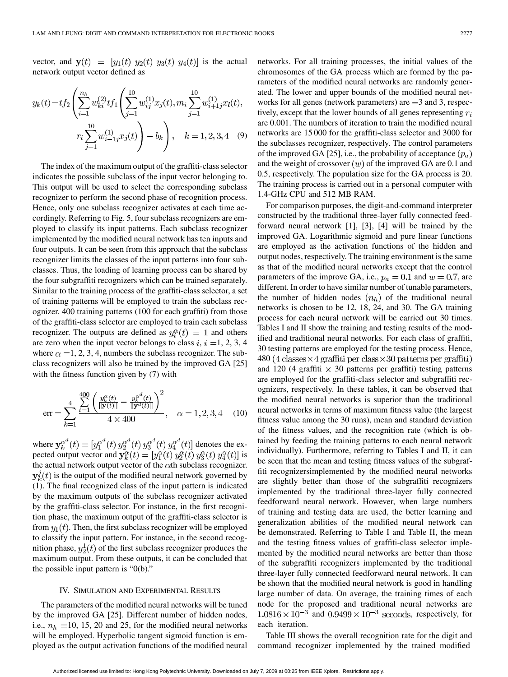vector, and  $y(t) = [y_1(t) y_2(t) y_3(t) y_4(t)]$  is the actual network output vector defined as

$$
y_k(t) = tf_2\left(\sum_{i=1}^{n_h} w_{ki}^{(2)} tf_1\left(\sum_{j=1}^{10} w_{ij}^{(1)} x_j(t), m_i \sum_{j=1}^{10} w_{i+1j}^{(1)} x_l(t), \right.\right.\left. r_i \sum_{j=1}^{10} w_{i-1j}^{(1)} x_j(t) \right) - b_k\right), \quad k = 1, 2, 3, 4 \quad (9)
$$

The index of the maximum output of the graffiti-class selector indicates the possible subclass of the input vector belonging to. This output will be used to select the corresponding subclass recognizer to perform the second phase of recognition process. Hence, only one subclass recognizer activates at each time accordingly. Referring to Fig. 5, four subclass recognizers are employed to classify its input patterns. Each subclass recognizer implemented by the modified neural network has ten inputs and four outputs. It can be seen from this approach that the subclass recognizer limits the classes of the input patterns into four subclasses. Thus, the loading of learning process can be shared by the four subgraffiti recognizers which can be trained separately. Similar to the training process of the graffiti-class selector, a set of training patterns will be employed to train the subclass recognizer. 400 training patterns (100 for each graffiti) from those of the graffiti-class selector are employed to train each subclass recognizer. The outputs are defined as  $y_i^{\alpha}(t) = 1$  and others are zero when the input vector belongs to class  $i, i = 1, 2, 3, 4$ where  $\alpha = 1, 2, 3, 4$ , numbers the subclass recognizer. The subclass recognizers will also be trained by the improved GA [[25\]](#page-10-0) with the fitness function given by  $(7)$  with

$$
err = \sum_{k=1}^{4} \frac{\sum_{t=1}^{400} \left( \frac{y_k^{\alpha}(t)}{\|y(t)\|} - \frac{y_k^{\alpha}(t)}{\|y^{\alpha}(t)\|} \right)^2}{4 \times 400}, \quad \alpha = 1, 2, 3, 4 \quad (10)
$$

where  $y_k^{\alpha^{\alpha}}(t) = [y_1^{\alpha^{\alpha}}(t) y_2^{\alpha^{\alpha}}(t) y_3^{\alpha^{\alpha}}(t) y_4^{\alpha^{\alpha}}(t)]$  denotes the expected output vector and  $y_k^{\alpha}(t) = [y_1^{\alpha}(t) y_2^{\alpha}(t) y_3^{\alpha}(t) y_4^{\alpha}(t)]$  is the actual network output vector of the  $\alpha$ th subclass recognizer.  $y_k^j(t)$  is the output of the modified neural network governed by (1). The final recognized class of the input pattern is indicated by the maximum outputs of the subclass recognizer activated by the graffiti-class selector. For instance, in the first recognition phase, the maximum output of the graffiti-class selector is from  $y_1(t)$ . Then, the first subclass recognizer will be employed to classify the input pattern. For instance, in the second recognition phase,  $y_2^1(t)$  of the first subclass recognizer produces the maximum output. From these outputs, it can be concluded that the possible input pattern is "0(b)."

#### IV. SIMULATION AND EXPERIMENTAL RESULTS

The parameters of the modified neural networks will be tuned by the improved GA [\[25](#page-10-0)]. Different number of hidden nodes, i.e.,  $n_h = 10$ , 15, 20 and 25, for the modified neural networks will be employed. Hyperbolic tangent sigmoid function is employed as the output activation functions of the modified neural

networks. For all training processes, the initial values of the chromosomes of the GA process which are formed by the parameters of the modified neural networks are randomly generated. The lower and upper bounds of the modified neural networks for all genes (network parameters) are  $-3$  and 3, respectively, except that the lower bounds of all genes representing  $r_i$ are 0.001. The numbers of iteration to train the modified neural networks are 15 000 for the graffiti-class selector and 3000 for the subclasses recognizer, respectively. The control parameters of the improved GA [[25\]](#page-10-0), i.e., the probability of acceptance  $(p_a)$ and the weight of crossover  $(w)$  of the improved GA are 0.1 and 0.5, respectively. The population size for the GA process is 20. The training process is carried out in a personal computer with 1.4-GHz CPU and 512 MB RAM.

For comparison purposes, the digit-and-command interpreter constructed by the traditional three-layer fully connected feedforward neural network [[1\]](#page-9-0), [\[3](#page-9-0)], [\[4](#page-9-0)] will be trained by the improved GA. Logarithmic sigmoid and pure linear functions are employed as the activation functions of the hidden and output nodes, respectively. The training environment is the same as that of the modified neural networks except that the control parameters of the improve GA, i.e.,  $p_a = 0.1$  and  $w = 0.7$ , are different. In order to have similar number of tunable parameters, the number of hidden nodes  $(n_h)$  of the traditional neural networks is chosen to be 12, 18, 24, and 30. The GA training process for each neural network will be carried out 30 times. Tables I and II show the training and testing results of the modified and traditional neural networks. For each class of graffiti, 30 testing patterns are employed for the testing process. Hence, 480 (4 classes  $\times$  4 graffiti per class  $\times$  30 patterns per graffiti) and 120 (4 graffiti  $\times$  30 patterns per graffiti) testing patterns are employed for the graffiti-class selector and subgraffiti recognizers, respectively. In these tables, it can be observed that the modified neural networks is superior than the traditional neural networks in terms of maximum fitness value (the largest fitness value among the 30 runs), mean and standard deviation of the fitness values, and the recognition rate (which is obtained by feeding the training patterns to each neural network individually). Furthermore, referring to Tables I and II, it can be seen that the mean and testing fitness values of the subgraffiti recognizersimplemented by the modified neural networks are slightly better than those of the subgraffiti recognizers implemented by the traditional three-layer fully connected feedforward neural network. However, when large numbers of training and testing data are used, the better learning and generalization abilities of the modified neural network can be demonstrated. Referring to Table I and Table II, the mean and the testing fitness values of graffiti-class selector implemented by the modified neural networks are better than those of the subgraffiti recognizers implemented by the traditional three-layer fully connected feedforward neural network. It can be shown that the modified neural network is good in handling large number of data. On average, the training times of each node for the proposed and traditional neural networks are  $1.0816 \times 10^{-3}$  and  $0.9499 \times 10^{-3}$  seconds, respectively, for each iteration.

Table III shows the overall recognition rate for the digit and command recognizer implemented by the trained modified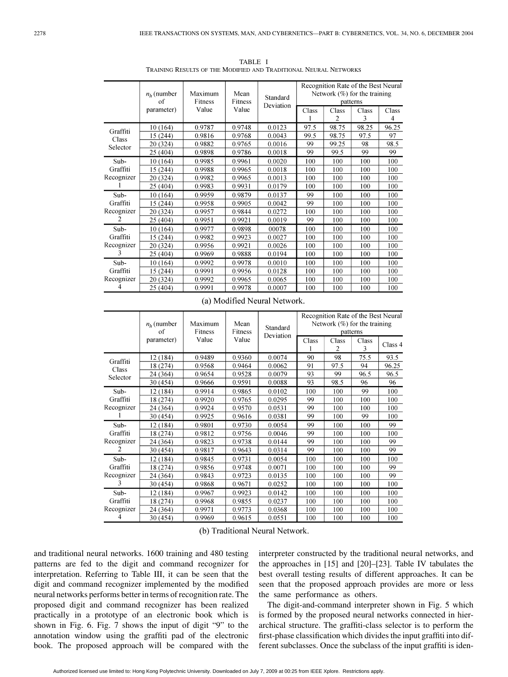|            | $n_h$ (number<br>of | Maximum<br>Fitness | Mean<br>Fitness | Standard<br>Deviation | Recognition Rate of the Best Neural<br>Network $(\%)$ for the training<br>patterns |                   |            |            |
|------------|---------------------|--------------------|-----------------|-----------------------|------------------------------------------------------------------------------------|-------------------|------------|------------|
|            | parameter)          | Value              | Value           |                       | Class                                                                              | <b>Class</b><br>2 | Class<br>3 | Class<br>4 |
| Graffiti   | 10 (164)            | 0.9787             | 0.9748          | 0.0123                | 97.5                                                                               | 98.75             | 98.25      | 96.25      |
| Class      | 15 (244)            | 0.9816             | 0.9768          | 0.0043                | 99.5                                                                               | 98.75             | 97.5       | 97         |
| Selector   | 20 (324)            | 0.9882             | 0.9765          | 0.0016                | 99                                                                                 | 99.25             | 98         | 98.5       |
|            | 25 (404)            | 0.9898             | 0.9786          | 0.0018                | 99                                                                                 | 99.5              | 99         | 99         |
| Sub-       | 10 (164)            | 0.9985             | 0.9961          | 0.0020                | 100                                                                                | 100               | 100        | 100        |
| Graffiti   | 15 (244)            | 0.9988             | 0.9965          | 0.0018                | 100                                                                                | 100               | 100        | 100        |
| Recognizer | 20 (324)            | 0.9982             | 0.9965          | 0.0013                | 100                                                                                | 100               | 100        | 100        |
|            | 25 (404)            | 0.9983             | 0.9931          | 0.0179                | 100                                                                                | 100               | 100        | 100        |
| $Sub-$     | 10 (164)            | 0.9959             | 0.9879          | 0.0137                | 99                                                                                 | 100               | 100        | 100        |
| Graffiti   | 15 (244)            | 0.9958             | 0.9905          | 0.0042                | 99                                                                                 | 100               | 100        | 100        |
| Recognizer | 20 (324)            | 0.9957             | 0.9844          | 0.0272                | 100                                                                                | 100               | 100        | 100        |
|            | 25 (404)            | 0.9951             | 0.9921          | 0.0019                | 99                                                                                 | 100               | 100        | 100        |
| $Sub-$     | 10 (164)            | 0.9977             | 0.9898          | 00078                 | 100                                                                                | 100               | 100        | 100        |
| Graffiti   | 15 (244)            | 0.9982             | 0.9923          | 0.0027                | 100                                                                                | 100               | 100        | 100        |
| Recognizer | 20 (324)            | 0.9956             | 0.9921          | 0.0026                | 100                                                                                | 100               | 100        | 100        |
|            | 25 (404)            | 0.9969             | 0.9888          | 0.0194                | 100                                                                                | 100               | 100        | 100        |
| Sub-       | 10 (164)            | 0.9992             | 0.9978          | 0.0010                | 100                                                                                | 100               | 100        | 100        |
| Graffiti   | 15 (244)            | 0.9991             | 0.9956          | 0.0128                | 100                                                                                | 100               | 100        | 100        |
| Recognizer | 20 (324)            | 0.9992             | 0.9965          | 0.0065                | 100                                                                                | 100               | 100        | 100        |
| 4          | 25 (404)            | 0.9991             | 0.9978          | 0.0007                | 100                                                                                | 100               | 100        | 100        |

TABLE I TRAINING RESULTS OF THE MODIFIED AND TRADITIONAL NEURAL NETWORKS

(a) Modified Neural Network.

|                   | $nh$ (number<br>of | Maximum<br>Fitness | Mean<br><b>Fitness</b> | Standard  | Recognition Rate of the Best Neural<br>Network $(\%)$ for the training<br>patterns |                         |            |         |
|-------------------|--------------------|--------------------|------------------------|-----------|------------------------------------------------------------------------------------|-------------------------|------------|---------|
|                   | parameter)         | Value              | Value                  | Deviation | Class                                                                              | Class<br>$\overline{c}$ | Class<br>3 | Class 4 |
|                   | 12 (184)           | 0.9489             | 0.9360                 | 0.0074    | 90                                                                                 | 98                      | 75.5       | 93.5    |
| Graffiti<br>Class | 18 (274)           | 0.9568             | 0.9464                 | 0.0062    | 91                                                                                 | 97.5                    | 94         | 96.25   |
| Selector          | 24 (364)           | 0.9654             | 0.9528                 | 0.0079    | 93                                                                                 | 99                      | 96.5       | 96.5    |
|                   | 30 (454)           | 0.9666             | 0.9591                 | 0.0088    | 93                                                                                 | 98.5                    | 96         | 96      |
| $Sub-$            | 12 (184)           | 0.9914             | 0.9865                 | 0.0102    | 100                                                                                | 100                     | 99         | 100     |
| Graffiti          | 18 (274)           | 0.9920             | 0.9765                 | 0.0295    | 99                                                                                 | 100                     | 100        | 100     |
| Recognizer        | 24 (364)           | 0.9924             | 0.9570                 | 0.0531    | 99                                                                                 | 100                     | 100        | 100     |
|                   | 30 (454)           | 0.9925             | 0.9616                 | 0.0381    | 99                                                                                 | 100                     | 99         | 100     |
| Sub-              | 12 (184)           | 0.9801             | 0.9730                 | 0.0054    | 99                                                                                 | 100                     | 100        | 99      |
| Graffiti          | 18 (274)           | 0.9812             | 0.9756                 | 0.0046    | 99                                                                                 | 100                     | 100        | 100     |
| Recognizer        | 24 (364)           | 0.9823             | 0.9738                 | 0.0144    | 99                                                                                 | 100                     | 100        | 99      |
|                   | 30 (454)           | 0.9817             | 0.9643                 | 0.0314    | 99                                                                                 | 100                     | 100        | 99      |
| Sub-              | 12 (184)           | 0.9845             | 0.9731                 | 0.0054    | 100                                                                                | 100                     | 100        | 100     |
| Graffiti          | 18 (274)           | 0.9856             | 0.9748                 | 0.0071    | 100                                                                                | 100                     | 100        | 99      |
| Recognizer        | 24 (364)           | 0.9843             | 0.9723                 | 0.0135    | 100                                                                                | 100                     | 100        | 99      |
| 3                 | 30 (454)           | 0.9868             | 0.9671                 | 0.0252    | 100                                                                                | 100                     | 100        | 100     |
| $Sub-$            | 12 (184)           | 0.9967             | 0.9923                 | 0.0142    | 100                                                                                | 100                     | 100        | 100     |
| Graffiti          | 18 (274)           | 0.9968             | 0.9855                 | 0.0237    | 100                                                                                | 100                     | 100        | 100     |
| Recognizer        | 24 (364)           | 0.9971             | 0.9773                 | 0.0368    | 100                                                                                | 100                     | 100        | 100     |
| 4                 | 30 (454)           | 0.9969             | 0.9615                 | 0.0551    | 100                                                                                | 100                     | 100        | 100     |

(b) Traditional Neural Network.

and traditional neural networks. 1600 training and 480 testing patterns are fed to the digit and command recognizer for interpretation. Referring to Table III, it can be seen that the digit and command recognizer implemented by the modified neural networks performs better in terms of recognition rate. The proposed digit and command recognizer has been realized practically in a prototype of an electronic book which is shown in Fig. 6. Fig. 7 shows the input of digit "9" to the annotation window using the graffiti pad of the electronic book. The proposed approach will be compared with the

interpreter constructed by the traditional neural networks, and the approaches in [\[15](#page-10-0)] and [\[20\]](#page-10-0)–[[23\]](#page-10-0). Table IV tabulates the best overall testing results of different approaches. It can be seen that the proposed approach provides are more or less the same performance as others.

The digit-and-command interpreter shown in Fig. 5 which is formed by the proposed neural networks connected in hierarchical structure. The graffiti-class selector is to perform the first-phase classification which divides the input graffiti into different subclasses. Once the subclass of the input graffiti is iden-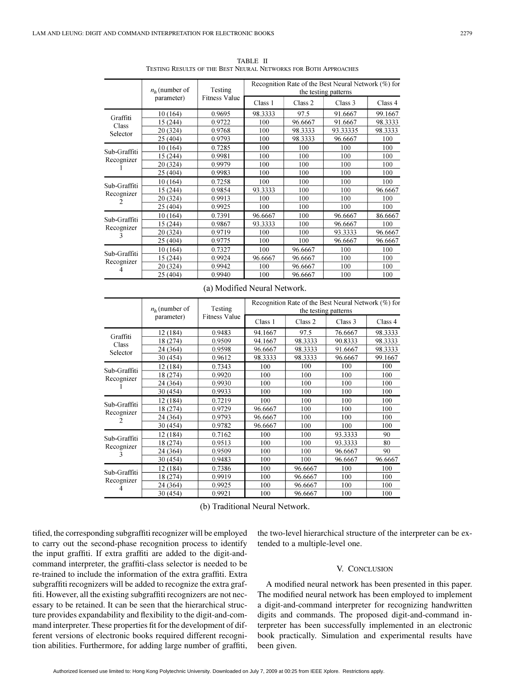|                 | $nk$ (number of | Testing              | Recognition Rate of the Best Neural Network (%) for<br>the testing patterns |         |          |         |
|-----------------|-----------------|----------------------|-----------------------------------------------------------------------------|---------|----------|---------|
|                 | parameter)      | <b>Fitness Value</b> | Class 1                                                                     | Class 2 | Class 3  | Class 4 |
| Graffiti        | 10 (164)        | 0.9695               | 98.3333                                                                     | 97.5    | 91.6667  | 99.1667 |
| Class           | 15 (244)        | 0.9722               | 100                                                                         | 96.6667 | 91.6667  | 98.3333 |
| Selector        | 20 (324)        | 0.9768               | 100                                                                         | 98.3333 | 93.33335 | 98.3333 |
|                 | 25 (404)        | 0.9793               | 100                                                                         | 98.3333 | 96.6667  | 100     |
| Sub-Graffiti    | 10 (164)        | 0.7285               | 100                                                                         | 100     | 100      | 100     |
| Recognizer      | 15 (244)        | 0.9981               | 100                                                                         | 100     | 100      | 100     |
|                 | 20 (324)        | 0.9979               | 100                                                                         | 100     | 100      | 100     |
|                 | 25 (404)        | 0.9983               | 100                                                                         | 100     | 100      | 100     |
|                 | 10 (164)        | 0.7258               | 100                                                                         | 100     | 100      | 100     |
| Sub-Graffiti    | 15 (244)        | 0.9854               | 93.3333                                                                     | 100     | 100      | 96.6667 |
| Recognizer<br>2 | 20 (324)        | 0.9913               | 100                                                                         | 100     | 100      | 100     |
|                 | 25 (404)        | 0.9925               | 100                                                                         | 100     | 100      | 100     |
| Sub-Graffiti    | 10 (164)        | 0.7391               | 96.6667                                                                     | 100     | 96.6667  | 86.6667 |
| Recognizer      | 15 (244)        | 0.9867               | 93.3333                                                                     | 100     | 96.6667  | 100     |
|                 | 20 (324)        | 0.9719               | 100                                                                         | 100     | 93.3333  | 96.6667 |
|                 | 25 (404)        | 0.9775               | 100                                                                         | 100     | 96.6667  | 96.6667 |
|                 | 10 (164)        | 0.7327               | 100                                                                         | 96.6667 | 100      | 100     |
| Sub-Graffiti    | 15 (244)        | 0.9924               | 96.6667                                                                     | 96.6667 | 100      | 100     |
| Recognizer      | 20 (324)        | 0.9942               | 100                                                                         | 96.6667 | 100      | 100     |
|                 | 25 (404)        | 0.9940               | 100                                                                         | 96.6667 | 100      | 100     |

TABLE II TESTING RESULTS OF THE BEST NEURAL NETWORKS FOR BOTH APPROACHES

|              | $nh$ (number of | Testing       | Recognition Rate of the Best Neural Network (%) for<br>the testing patterns |         |         |         |  |
|--------------|-----------------|---------------|-----------------------------------------------------------------------------|---------|---------|---------|--|
|              | parameter)      | Fitness Value | Class 1                                                                     | Class 2 | Class 3 | Class 4 |  |
| Graffiti     | 12 (184)        | 0.9483        | 94.1667                                                                     | 97.5    | 76.6667 | 98.3333 |  |
| Class        | 18 (274)        | 0.9509        | 94.1667                                                                     | 98.3333 | 90.8333 | 98.3333 |  |
| Selector     | 24 (364)        | 0.9598        | 96.6667                                                                     | 98.3333 | 91.6667 | 98.3333 |  |
|              | 30 (454)        | 0.9612        | 98.3333                                                                     | 98.3333 | 96.6667 | 99.1667 |  |
| Sub-Graffiti | 12 (184)        | 0.7343        | 100                                                                         | 100     | 100     | 100     |  |
| Recognizer   | 18 (274)        | 0.9920        | 100                                                                         | 100     | 100     | 100     |  |
|              | 24 (364)        | 0.9930        | 100                                                                         | 100     | 100     | 100     |  |
|              | 30 (454)        | 0.9933        | 100                                                                         | 100     | 100     | 100     |  |
| Sub-Graffiti | 12 (184)        | 0.7219        | 100                                                                         | 100     | 100     | 100     |  |
| Recognizer   | 18 (274)        | 0.9729        | 96.6667                                                                     | 100     | 100     | 100     |  |
|              | 24 (364)        | 0.9793        | 96.6667                                                                     | 100     | 100     | 100     |  |
|              | 30 (454)        | 0.9782        | 96.6667                                                                     | 100     | 100     | 100     |  |
| Sub-Graffiti | 12 (184)        | 0.7162        | 100                                                                         | 100     | 93.3333 | 90      |  |
| Recognizer   | 18 (274)        | 0.9513        | 100                                                                         | 100     | 93.3333 | 80      |  |
|              | 24 (364)        | 0.9509        | 100                                                                         | 100     | 96.6667 | 90      |  |
|              | 30 (454)        | 0.9483        | 100                                                                         | 100     | 96.6667 | 96.6667 |  |
|              | 12 (184)        | 0.7386        | 100                                                                         | 96.6667 | 100     | 100     |  |
| Sub-Graffiti | 18 (274)        | 0.9919        | 100                                                                         | 96.6667 | 100     | 100     |  |
| Recognizer   | 24 (364)        | 0.9925        | 100                                                                         | 96.6667 | 100     | 100     |  |
|              | 30 (454)        | 0.9921        | 100                                                                         | 96.6667 | 100     | 100     |  |

(a) Modified Neural Network.

(b) Traditional Neural Network.

tified, the corresponding subgraffiti recognizer will be employed to carry out the second-phase recognition process to identify the input graffiti. If extra graffiti are added to the digit-andcommand interpreter, the graffiti-class selector is needed to be re-trained to include the information of the extra graffiti. Extra subgraffiti recognizers will be added to recognize the extra graffiti. However, all the existing subgraffiti recognizers are not necessary to be retained. It can be seen that the hierarchical structure provides expandability and flexibility to the digit-and-command interpreter. These properties fit for the development of different versions of electronic books required different recognition abilities. Furthermore, for adding large number of graffiti,

the two-level hierarchical structure of the interpreter can be extended to a multiple-level one.

# V. CONCLUSION

A modified neural network has been presented in this paper. The modified neural network has been employed to implement a digit-and-command interpreter for recognizing handwritten digits and commands. The proposed digit-and-command interpreter has been successfully implemented in an electronic book practically. Simulation and experimental results have been given.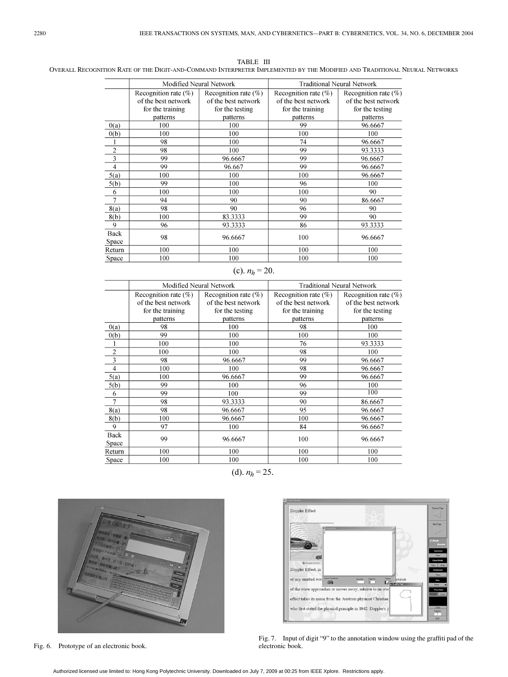Modified Neural Network **Traditional Neural Network** Recognition rate  $(\%)$ Recognition rate  $(\%)$ Recognition rate  $(\%)$ Recognition rate  $(\%)$ of the best network of the best network of the best network of the best network for the training for the testing for the training for the testing patterns patterns patterns patterns  $\overline{0(a)}$  $\overline{99}$ 96.6667 100 100 100 100 100  $100$  $0(b)$  $\mathbf 1$ 98  $100\,$ 74 96.6667 98 99  $\overline{2}$  $100\,$ 93.3333  $\overline{99}$ 96.6667  $\overline{99}$ 96.6667 99  $\overline{4}$ 96.667 99 96.6667 100 100 100 96.6667  $5(a)$  $\overline{5(b)}$ 99  $\overline{96}$  $\overline{100}$ 100  $\sqrt{6}$ 100 100 100  $\overline{90}$ 94  $\overline{7}$ 90 86.6667 90 98  $\overline{90}$ 96 90  $8(a)$ 100 83.3333 99  $\overline{90}$  $8(b)$ 93.3333 93.3333 96  $86$  $\mathbf Q$ Back 98 96.6667 100 96.6667 Space  $Return$  $\overline{100}$  $\overline{100}$  $\overline{100}$  $\overline{100}$ 100 100 100  $\overline{100}$ Space

TABLE III OVERALL RECOGNITION RATE OF THE DIGIT-AND-COMMAND INTERPRETER IMPLEMENTED BY THE MODIFIED AND TRADITIONAL NEURAL NETWORKS

(c).  $n_h = 20$ .

|                |                         | Modified Neural Network | <b>Traditional Neural Network</b> |                         |  |  |  |
|----------------|-------------------------|-------------------------|-----------------------------------|-------------------------|--|--|--|
|                | Recognition rate $(\%)$ | Recognition rate $(\%)$ | Recognition rate $(\%)$           | Recognition rate $(\%)$ |  |  |  |
|                | of the best network     | of the best network     | of the best network               | of the best network     |  |  |  |
|                | for the training        | for the testing         | for the training                  | for the testing         |  |  |  |
|                | patterns                | patterns                | patterns                          | patterns                |  |  |  |
| 0(a)           | 98                      | 100                     | 98                                | 100                     |  |  |  |
| 0(b)           | 99                      | 100                     | 100                               | 100                     |  |  |  |
|                | 100                     | 100                     | 76                                | 93.3333                 |  |  |  |
| $\overline{c}$ | 100                     | 100                     | 98                                | 100                     |  |  |  |
| 3              | 98                      | 96.6667                 | 99                                | 96.6667                 |  |  |  |
| 4              | 100                     | 100                     | 98                                | 96.6667                 |  |  |  |
| 5(a)           | 100                     | 96.6667                 | 99                                | 96.6667                 |  |  |  |
| 5(b)           | 99                      | 100                     | 96                                | 100                     |  |  |  |
| 6              | 99                      | 100                     | 99                                | 100                     |  |  |  |
| 7              | 98                      | 93.3333                 | 90                                | 86.6667                 |  |  |  |
| 8(a)           | 98                      | 96.6667                 | 95                                | 96.6667                 |  |  |  |
| 8(b)           | 100                     | 96.6667                 | 100                               | 96.6667                 |  |  |  |
| 9              | 97                      | 100                     | 84                                | 96.6667                 |  |  |  |
| Back<br>Space  | 99                      | 96.6667                 | 100                               | 96.6667                 |  |  |  |
| Return         | 100                     | 100                     | 100                               | 100                     |  |  |  |
| Space          | 100                     | 100                     | 100                               | 100                     |  |  |  |

(d).  $n_h = 25$ .



Fig. 6. Prototype of an electronic book.



Fig. 7. Input of digit "9" to the annotation window using the graffiti pad of the electronic book.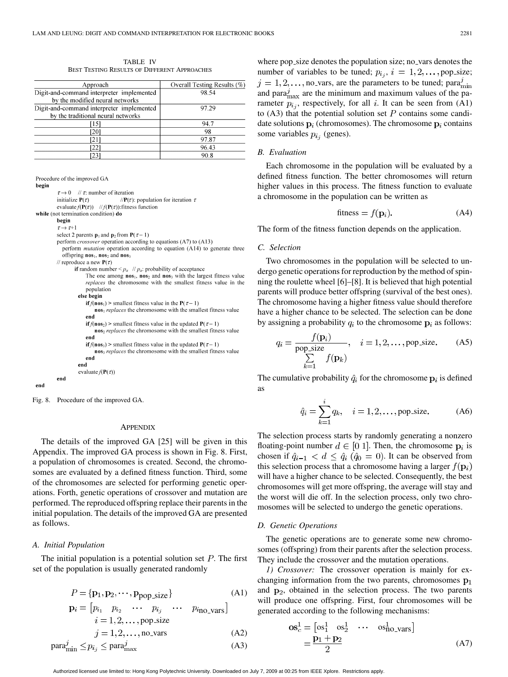TABLE IV BEST TESTING RESULTS OF DIFFERENT APPROACHES

| Approach                                  | Overall Testing Results $(\%)$ |
|-------------------------------------------|--------------------------------|
| Digit-and-command interpreter implemented | 98.54                          |
| by the modified neural networks           |                                |
| Digit-and-command interpreter implemented | 97.29                          |
| by the traditional neural networks        |                                |
| l 15 I                                    | 94.7                           |
| [20]                                      | 98                             |
| 211                                       | 97.87                          |
| 221                                       | 96.43                          |
|                                           | 90.8                           |

Procedure of the improved GA begin  $\tau \rightarrow 0$  //  $\tau$ : number of iteration initialize  $P(\tau)$ // $P(\tau)$ : population for iteration  $\tau$ evaluate  $f(\mathbf{P}(\tau))$  // $f(\mathbf{P}(\tau))$ : fitness function while (not termination condition) do begin  $\tau \rightarrow \tau + 1$ select 2 parents  $\mathbf{p}_1$  and  $\mathbf{p}_2$  from  $\mathbf{P}(\tau-1)$ perform *crossover* operation according to equations (A7) to (A13) perform mutation operation according to equation (A14) to generate three offspring nos<sub>1</sub>, nos<sub>2</sub> and nos<sub>3</sub> // reproduce a new  $P(\tau)$ if random number  $\leq p_a$  //  $p_a$ : probability of acceptance The one among  $\mathbf{n}$ os<sub>1</sub>,  $\mathbf{n}$ os<sub>2</sub> and  $\mathbf{n}$ os<sub>3</sub> with the largest fitness value replaces the chromosome with the smallest fitness value in the population else begin if  $f(nos_1)$  > smallest fitness value in the  $P(\tau-1)$ nos<sub>1</sub> replaces the chromosome with the smallest fitness value end **if**  $f(nos_2)$  > smallest fitness value in the updated  $P(\tau - 1)$ nos<sub>2</sub> replaces the chromosome with the smallest fitness value end **if**  $f(nos_3)$  > smallest fitness value in the updated  $P(\tau-1)$ nos<sub>3</sub> replaces the chromosome with the smallest fitness value end end evaluate  $f(\mathbf{P}(\tau))$ end end Fig. 8. Procedure of the improved GA.

#### **APPENDIX**

The details of the improved GA [\[25](#page-10-0)] will be given in this Appendix. The improved GA process is shown in Fig. 8. First, a population of chromosomes is created. Second, the chromosomes are evaluated by a defined fitness function. Third, some of the chromosomes are selected for performing genetic operations. Forth, genetic operations of crossover and mutation are performed. The reproduced offspring replace their parents in the initial population. The details of the improved GA are presented as follows.

## *A. Initial Population*

The initial population is a potential solution set  $P$ . The first set of the population is usually generated randomly

$$
P = {\mathbf{p}_1, \mathbf{p}_2, \cdots, \mathbf{p}_{\text{pop\_size}}}
$$
 (A1)

$$
\mathbf{p}_i = \begin{bmatrix} p_{i_1} & p_{i_2} & \cdots & p_{i_j} & \cdots & p_{i_{\text{no_vvars}} \end{bmatrix}
$$
  

$$
i = 1, 2, \ldots, \text{pop_size}
$$

$$
j = 1, 2, \dots, \text{no-vars}
$$
 (A2)

$$
\text{para}_{\min}^j \le p_{i_j} \le \text{para}_{\max}^j \tag{A3}
$$

where pop size denotes the population size; no vars denotes the number of variables to be tuned;  $p_{i_j}$ ,  $i = 1, 2, \dots$ , pop size;  $j = 1, 2, \dots$ , no vars, are the parameters to be tuned; para $n_{\min}^j$ and para $j_{\text{max}}$  are the minimum and maximum values of the parameter  $p_{i_j}$ , respectively, for all i. It can be seen from (A1) to  $(A3)$  that the potential solution set P contains some candidate solutions  $p_i$  (chromosomes). The chromosome  $p_i$  contains some variables  $p_{i}$ , (genes).

## *B. Evaluation*

Each chromosome in the population will be evaluated by a defined fitness function. The better chromosomes will return higher values in this process. The fitness function to evaluate a chromosome in the population can be written as

$$
fitness = f(\mathbf{p}_i). \tag{A4}
$$

The form of the fitness function depends on the application.

# *C. Selection*

Two chromosomes in the population will be selected to undergo genetic operations for reproduction by the method of spinning the roulette wheel [[6\]](#page-9-0)–[\[8](#page-9-0)]. It is believed that high potential parents will produce better offspring (survival of the best ones). The chromosome having a higher fitness value should therefore have a higher chance to be selected. The selection can be done by assigning a probability  $q_i$  to the chromosome  $p_i$  as follows:

$$
q_i = \frac{f(\mathbf{p}_i)}{\text{pop_size}}, \quad i = 1, 2, \dots, \text{pop_size.} \tag{A5}
$$

$$
\sum_{k=1}^{S} f(\mathbf{p}_k)
$$

The cumulative probability  $\hat{q}_i$  for the chromosome  $p_i$  is defined as

$$
\hat{q}_i = \sum_{k=1}^i q_k, \quad i = 1, 2, ..., \text{pop_size.}
$$
 (A6)

The selection process starts by randomly generating a nonzero floating-point number  $d \in [0 1]$ . Then, the chromosome  $p_i$  is chosen if  $\hat{q}_{i-1} < d \leq \hat{q}_i$  ( $\hat{q}_0 = 0$ ). It can be observed from this selection process that a chromosome having a larger  $f(\mathbf{p}_i)$ will have a higher chance to be selected. Consequently, the best chromosomes will get more offspring, the average will stay and the worst will die off. In the selection process, only two chromosomes will be selected to undergo the genetic operations.

# *D. Genetic Operations*

The genetic operations are to generate some new chromosomes (offspring) from their parents after the selection process. They include the crossover and the mutation operations.

*1) Crossover:* The crossover operation is mainly for exchanging information from the two parents, chromosomes  $p_1$ and  $p_2$ , obtained in the selection process. The two parents will produce one offspring. First, four chromosomes will be generated according to the following mechanisms:

$$
\begin{aligned} \mathbf{os}_c^1 &= \begin{bmatrix} \cos_1^1 & \cos_2^1 & \cdots & \cos_{\text{no\text{-}vars}}^1 \end{bmatrix} \\ &= \frac{\mathbf{p}_1 + \mathbf{p}_2}{2} \end{aligned} \tag{A7}
$$

Authorized licensed use limited to: Hong Kong Polytechnic University. Downloaded on July 7, 2009 at 00:25 from IEEE Xplore. Restrictions apply.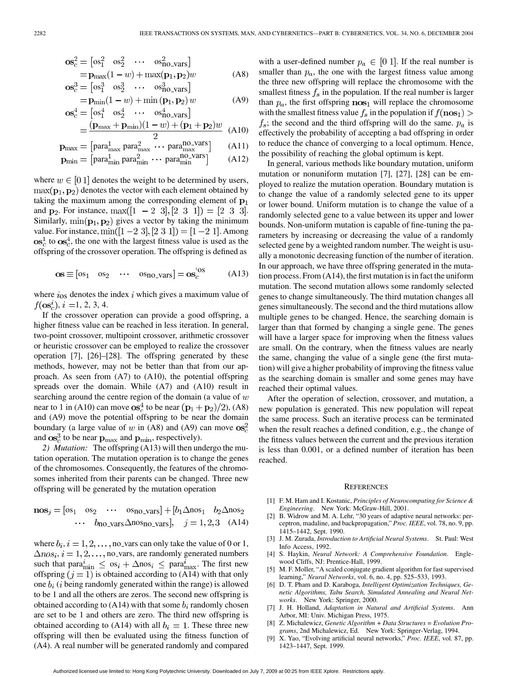<span id="page-9-0"></span>
$$
\mathbf{os}_{c}^{2} = [\mathbf{os}_{1}^{2} \quad \mathbf{os}_{2}^{2} \quad \cdots \quad \mathbf{os}_{\mathbf{no\text{-}vars}}^{2}]
$$
  
=  $\mathbf{p}_{\text{max}}(1-w) + \max(\mathbf{p}_{1}, \mathbf{p}_{2})w$  (A8)

$$
\begin{aligned}\n\mathbf{os}_c^3 &= \begin{bmatrix} \n\cos_1^3 & \cos_2^3 & \cdots & \cos_{\text{no\text{-}vars}}^3 \n\end{bmatrix} \\
&= \mathbf{p}_{\text{min}}(1 - w) + \text{min}\left(\mathbf{p}_1, \mathbf{p}_2\right)w \\
\mathbf{os}_a^4 &= \begin{bmatrix} \n\cos_4^4 & \cos_4^4 & \cdots & \cos_{\text{no\text{-}vars}}^4 \n\end{bmatrix}\n\end{aligned} \tag{A9}
$$

$$
= \frac{(p_{\text{max}} + p_{\text{min}})(1 - w) + (p_1 + p_2)w}{2}
$$
 (A10)

$$
\mathbf{p}_{\text{max}} = \begin{bmatrix} \text{para}_{\text{max}}^1 & \text{para}_{\text{max}}^2 & \cdots & \text{para}_{\text{max}}^{\text{no\_vars}} \end{bmatrix} \tag{A11}
$$

$$
\mathbf{p}_{\min} = \begin{bmatrix} \text{para}_{\min}^1 & \text{para}_{\min}^2 & \cdots & \text{para}_{\min}^{\text{no-vars}} \end{bmatrix} \tag{A12}
$$

where  $w \in [0, 1]$  denotes the weight to be determined by users,  $max(\mathbf{p}_1, \mathbf{p}_2)$  denotes the vector with each element obtained by taking the maximum among the corresponding element of  $p_1$ and  $\mathbf{p}_2$ . For instance,  $\max([1 \ -2 \ 3], [2 \ 3 \ 1]) = [2 \ 3 \ 3].$ Similarly,  $\min(\mathbf{p}_1, \mathbf{p}_2)$  gives a vector by taking the minimum value. For instance,  $\min([1 - 2 3], [2 3 1]) = [1 - 2 1]$ . Among  $\textbf{os}_c^1$  to  $\textbf{os}_c^4$ , the one with the largest fitness value is used as the offspring of the crossover operation. The offspring is defined as

$$
\mathbf{os} \equiv [\mathbf{os}_1 \quad \mathbf{os}_2 \quad \cdots \quad \mathbf{os}_{\mathbf{no\_vars}}] = \mathbf{os}_c^{\mathbf{ios}} \tag{A13}
$$

where  $i_{OS}$  denotes the index i which gives a maximum value of  $f(\mathbf{os}_c^i), i =1, 2, 3, 4.$ 

If the crossover operation can provide a good offspring, a higher fitness value can be reached in less iteration. In general, two-point crossover, multipoint crossover, arithmetic crossover or heuristic crossover can be employed to realize the crossover operation [7], [\[26](#page-10-0)]–[\[28\]](#page-10-0). The offspring generated by these methods, however, may not be better than that from our approach. As seen from (A7) to (A10), the potential offspring spreads over the domain. While (A7) and (A10) result in searching around the centre region of the domain (a value of  $w$ near to 1 in (A10) can move  $\cos^4$  to be near  $(\mathbf{p}_1 + \mathbf{p}_2)/2$ ), (A8) and (A9) move the potential offspring to be near the domain boundary (a large value of w in (A8) and (A9) can move  $\cos^2$ and  $\mathbf{os}_c^3$  to be near  $\mathbf{p}_{\text{max}}$  and  $\mathbf{p}_{\text{min}}$ , respectively).

*2) Mutation:* The offspring (A13) will then undergo the mutation operation. The mutation operation is to change the genes of the chromosomes. Consequently, the features of the chromosomes inherited from their parents can be changed. Three new offspring will be generated by the mutation operation

$$
\mathbf{nos}_j = [\text{os}_1 \quad \text{os}_2 \quad \cdots \quad \text{os}_{\text{no-vars}}] + [b_1 \Delta \text{nos}_1 \quad b_2 \Delta \text{nos}_2
$$

$$
\cdots \quad b_{\text{no-vars}} \Delta \text{nos}_{\text{no-vars}}], \quad j = 1, 2, 3 \quad \text{(A14)}
$$

where  $b_i$ ,  $i = 1, 2, \dots$ , no vars can only take the value of 0 or 1,  $\Delta nos_i$ ,  $i = 1, 2, \ldots$ , no vars, are randomly generated numbers such that para $_{\text{min}}^i \leq \alpha s_i + \Delta \text{nos}_i \leq \text{para}_{\text{max}}^i$ . The first new offspring  $(i = 1)$  is obtained according to (A14) with that only one  $b_i$  (*i* being randomly generated within the range) is allowed to be 1 and all the others are zeros. The second new offspring is obtained according to (A14) with that some  $b_i$  randomly chosen are set to be 1 and others are zero. The third new offspring is obtained according to (A14) with all  $b_i = 1$ . These three new offspring will then be evaluated using the fitness function of (A4). A real number will be generated randomly and compared

with a user-defined number  $p_a \in [0 \; 1]$ . If the real number is smaller than  $p_a$ , the one with the largest fitness value among the three new offspring will replace the chromosome with the smallest fitness  $f_s$  in the population. If the real number is larger than  $p_a$ , the first offspring  $\text{nos}_1$  will replace the chromosome with the smallest fitness value  $f_s$  in the population if  $f(\textbf{nos}_1)$  $f_s$ ; the second and the third offspring will do the same.  $p_a$  is effectively the probability of accepting a bad offspring in order to reduce the chance of converging to a local optimum. Hence, the possibility of reaching the global optimum is kept.

In general, various methods like boundary mutation, uniform mutation or nonuniform mutation [7], [\[27](#page-10-0)], [[28\]](#page-10-0) can be employed to realize the mutation operation. Boundary mutation is to change the value of a randomly selected gene to its upper or lower bound. Uniform mutation is to change the value of a randomly selected gene to a value between its upper and lower bounds. Non-uniform mutation is capable of fine-tuning the parameters by increasing or decreasing the value of a randomly selected gene by a weighted random number. The weight is usually a monotonic decreasing function of the number of iteration. In our approach, we have three offspring generated in the mutation process. From (A14), the first mutation is in fact the uniform mutation. The second mutation allows some randomly selected genes to change simultaneously. The third mutation changes all genes simultaneously. The second and the third mutations allow multiple genes to be changed. Hence, the searching domain is larger than that formed by changing a single gene. The genes will have a larger space for improving when the fitness values are small. On the contrary, when the fitness values are nearly the same, changing the value of a single gene (the first mutation) will give a higher probability of improving the fitness value as the searching domain is smaller and some genes may have reached their optimal values.

After the operation of selection, crossover, and mutation, a new population is generated. This new population will repeat the same process. Such an iterative process can be terminated when the result reaches a defined condition, e.g., the change of the fitness values between the current and the previous iteration is less than 0.001, or a defined number of iteration has been reached.

#### **REFERENCES**

- [1] F. M. Ham and I. Kostanic, *Principles of Neurocomputing for Science & Engineering*. New York: McGraw-Hill, 2001.
- [2] B. Widrow and M. A. Lehr, "30 years of adaptive neural networks: perceptron, madaline, and backpropagation," *Proc. IEEE*, vol. 78, no. 9, pp. 1415–1442, Sept. 1990.
- [3] J. M. Zurada, *Introduction to Artificial Neural Systems*. St. Paul: West Info Access, 1992.
- [4] S. Haykin, *Neural Network: A Comprehensive Foundation*. Englewood Cliffs, NJ: Prentice-Hall, 1999.
- [5] M. F. Moller, "A scaled conjugate gradient algorithm for fast supervised learning," *Neural Networks*, vol. 6, no. 4, pp. 525–533, 1993.
- [6] D. T. Pham and D. Karaboga, *Intelligent Optimization Techniques, Genetic Algorithms, Tabu Search, Simulated Annealing and Neural Networks*. New York: Springer, 2000.
- [7] J. H. Holland, *Adaptation in Natural and Artificial Systems*. Ann Arbor, MI: Univ. Michigan Press, 1975.
- [8] Z. Michalewicz, *Genetic Algorithm + Data Structures = Evolution Programs*, 2nd Michalewicz, Ed. New York: Springer-Verlag, 1994.
- [9] X. Yao, "Evolving artificial neural networks," *Proc. IEEE*, vol. 87, pp. 1423–1447, Sept. 1999.